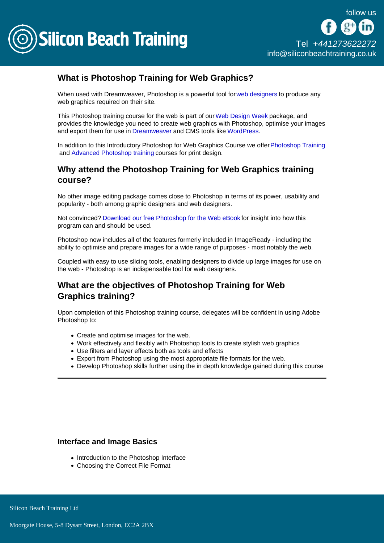

# What is Photoshop Training for Web Graphics?

When used with Dreamweaver, Photoshop is a powerful tool fo[r web designers](/web-design-training) to produce any web graphics required on their site.

This Photoshop training course for the web is part of our [Web Design Week](/web-design-training/web-design-week) package, and provides the knowledge you need to create web graphics with Photoshop, optimise your images and export them for use in [Dreamweaver](/web-design-training/dreamweaver) and CMS tools like [WordPress.](/web-design-training/wordpress)

In addition to this Introductory Photoshop for Web Graphics Course we offer [Photoshop Training](/photoshop-training/photoshop-training) and [Advanced Photoshop training](/photoshop-training/advanced-photoshop) courses for print design.

### Why attend the Photoshop Training for Web Graphics training course?

No other image editing package comes close to Photoshop in terms of its power, usability and popularity - both among graphic designers and web designers.

Not convinced? [Download our free Photoshop for the Web eBook](/resources/creating-graphics-for-the-web-with-photoshop) for insight into how this program can and should be used.

Photoshop now includes all of the features formerly included in ImageReady - including the ability to optimise and prepare images for a wide range of purposes - most notably the web.

Coupled with easy to use slicing tools, enabling designers to divide up large images for use on the web - Photoshop is an indispensable tool for web designers.

## What are the objectives of Photoshop Training for Web Graphics training?

Upon completion of this Photoshop training course, delegates will be confident in using Adobe Photoshop to:

- Create and optimise images for the web.
- Work effectively and flexibly with Photoshop tools to create stylish web graphics
- Use filters and layer effects both as tools and effects
- Export from Photoshop using the most appropriate file formats for the web.
- Develop Photoshop skills further using the in depth knowledge gained during this course

Interface and Image Basics

- Introduction to the Photoshop Interface
- Choosing the Correct File Format

Silicon Beach Training Ltd